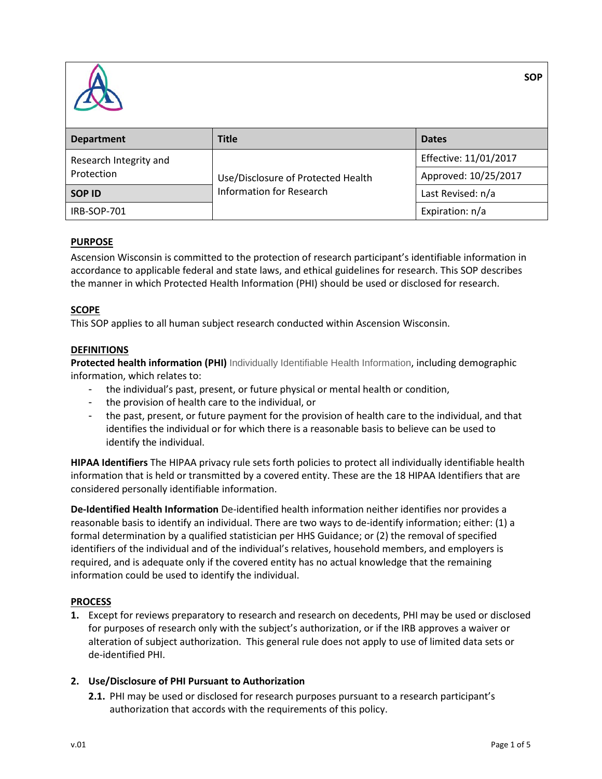

| <b>Department</b>                    | <b>Title</b>                                                   | <b>Dates</b>          |  |  |
|--------------------------------------|----------------------------------------------------------------|-----------------------|--|--|
| Research Integrity and<br>Protection | Use/Disclosure of Protected Health<br>Information for Research | Effective: 11/01/2017 |  |  |
|                                      |                                                                | Approved: 10/25/2017  |  |  |
| <b>SOP ID</b>                        |                                                                | Last Revised: n/a     |  |  |
| IRB-SOP-701                          |                                                                | Expiration: n/a       |  |  |

### **PURPOSE**

Ascension Wisconsin is committed to the protection of research participant's identifiable information in accordance to applicable federal and state laws, and ethical guidelines for research. This SOP describes the manner in which Protected Health Information (PHI) should be used or disclosed for research.

### **SCOPE**

This SOP applies to all human subject research conducted within Ascension Wisconsin.

#### **DEFINITIONS**

**Protected health information (PHI)** Individually Identifiable Health Information, including demographic information, which relates to:

- the individual's past, present, or future physical or mental health or condition,
- the provision of health care to the individual, or
- the past, present, or future payment for the provision of health care to the individual, and that identifies the individual or for which there is a reasonable basis to believe can be used to identify the individual.

**HIPAA Identifiers** The HIPAA privacy rule sets forth policies to protect all individually identifiable health information that is held or transmitted by a covered entity. These are the 18 HIPAA Identifiers that are considered personally identifiable information.

**De-Identified Health Information** De-identified health information neither identifies nor provides a reasonable basis to identify an individual. There are two ways to de-identify information; either: (1) a formal determination by a qualified statistician per HHS Guidance; or (2) the removal of specified identifiers of the individual and of the individual's relatives, household members, and employers is required, and is adequate only if the covered entity has no actual knowledge that the remaining information could be used to identify the individual.

### **PROCESS**

**1.** Except for reviews preparatory to research and research on decedents, PHI may be used or disclosed for purposes of research only with the subject's authorization, or if the IRB approves a waiver or alteration of subject authorization. This general rule does not apply to use of limited data sets or de-identified PHI.

### **2. Use/Disclosure of PHI Pursuant to Authorization**

**2.1.** PHI may be used or disclosed for research purposes pursuant to a research participant's authorization that accords with the requirements of this policy.

**SOP**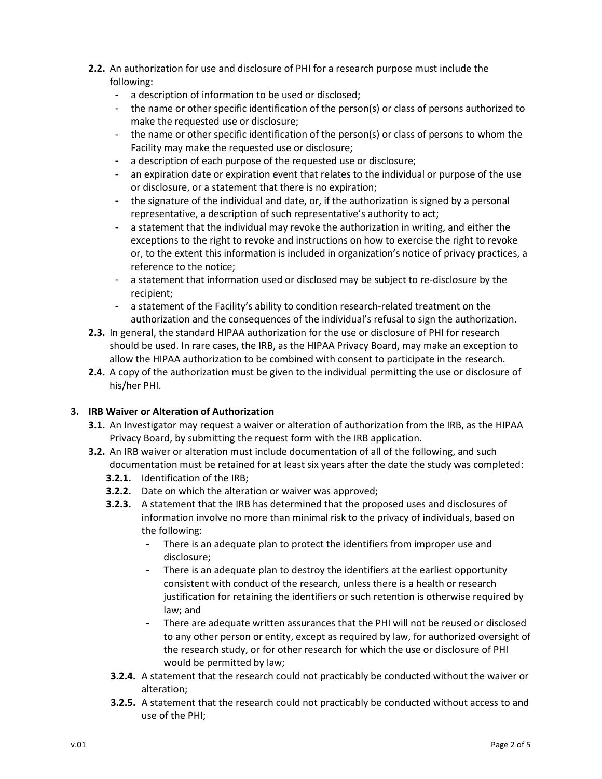- **2.2.** An authorization for use and disclosure of PHI for a research purpose must include the following:
	- a description of information to be used or disclosed;
	- the name or other specific identification of the person(s) or class of persons authorized to make the requested use or disclosure;
	- the name or other specific identification of the person(s) or class of persons to whom the Facility may make the requested use or disclosure;
	- a description of each purpose of the requested use or disclosure;
	- an expiration date or expiration event that relates to the individual or purpose of the use or disclosure, or a statement that there is no expiration;
	- the signature of the individual and date, or, if the authorization is signed by a personal representative, a description of such representative's authority to act;
	- a statement that the individual may revoke the authorization in writing, and either the exceptions to the right to revoke and instructions on how to exercise the right to revoke or, to the extent this information is included in organization's notice of privacy practices, a reference to the notice;
	- a statement that information used or disclosed may be subject to re-disclosure by the recipient;
	- a statement of the Facility's ability to condition research-related treatment on the authorization and the consequences of the individual's refusal to sign the authorization.
- **2.3.** In general, the standard HIPAA authorization for the use or disclosure of PHI for research should be used. In rare cases, the IRB, as the HIPAA Privacy Board, may make an exception to allow the HIPAA authorization to be combined with consent to participate in the research.
- **2.4.** A copy of the authorization must be given to the individual permitting the use or disclosure of his/her PHI.

# **3. IRB Waiver or Alteration of Authorization**

- **3.1.** An Investigator may request a waiver or alteration of authorization from the IRB, as the HIPAA Privacy Board, by submitting the request form with the IRB application.
- **3.2.** An IRB waiver or alteration must include documentation of all of the following, and such documentation must be retained for at least six years after the date the study was completed:
	- **3.2.1.** Identification of the IRB;
	- **3.2.2.** Date on which the alteration or waiver was approved;
	- **3.2.3.** A statement that the IRB has determined that the proposed uses and disclosures of information involve no more than minimal risk to the privacy of individuals, based on the following:
		- There is an adequate plan to protect the identifiers from improper use and disclosure;
		- There is an adequate plan to destroy the identifiers at the earliest opportunity consistent with conduct of the research, unless there is a health or research justification for retaining the identifiers or such retention is otherwise required by law; and
		- There are adequate written assurances that the PHI will not be reused or disclosed to any other person or entity, except as required by law, for authorized oversight of the research study, or for other research for which the use or disclosure of PHI would be permitted by law;
	- **3.2.4.** A statement that the research could not practicably be conducted without the waiver or alteration;
	- **3.2.5.** A statement that the research could not practicably be conducted without access to and use of the PHI;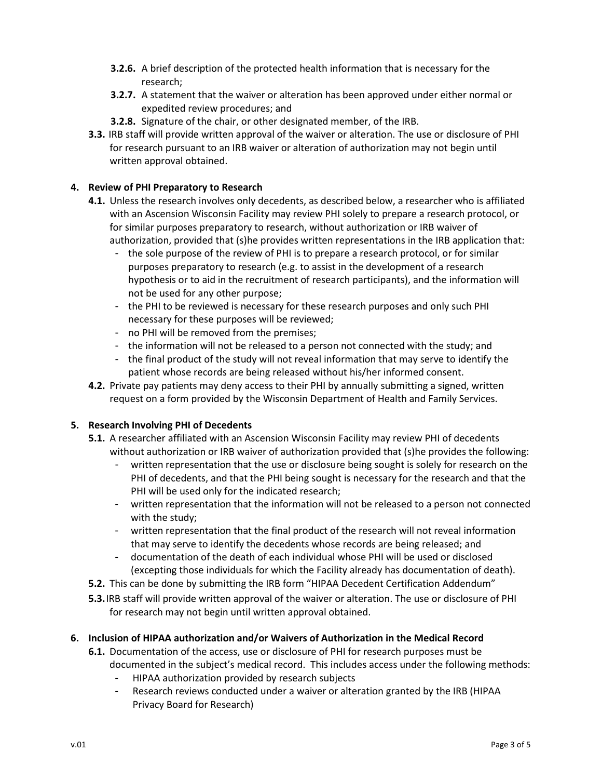- **3.2.6.** A brief description of the protected health information that is necessary for the research;
- **3.2.7.** A statement that the waiver or alteration has been approved under either normal or expedited review procedures; and
- **3.2.8.** Signature of the chair, or other designated member, of the IRB.
- **3.3.** IRB staff will provide written approval of the waiver or alteration. The use or disclosure of PHI for research pursuant to an IRB waiver or alteration of authorization may not begin until written approval obtained.

## **4. Review of PHI Preparatory to Research**

- **4.1.** Unless the research involves only decedents, as described below, a researcher who is affiliated with an Ascension Wisconsin Facility may review PHI solely to prepare a research protocol, or for similar purposes preparatory to research, without authorization or IRB waiver of authorization, provided that (s)he provides written representations in the IRB application that:
	- the sole purpose of the review of PHI is to prepare a research protocol, or for similar purposes preparatory to research (e.g. to assist in the development of a research hypothesis or to aid in the recruitment of research participants), and the information will not be used for any other purpose;
	- the PHI to be reviewed is necessary for these research purposes and only such PHI necessary for these purposes will be reviewed;
	- no PHI will be removed from the premises;
	- the information will not be released to a person not connected with the study; and
	- the final product of the study will not reveal information that may serve to identify the patient whose records are being released without his/her informed consent.
- **4.2.** Private pay patients may deny access to their PHI by annually submitting a signed, written request on a form provided by the Wisconsin Department of Health and Family Services.

# **5. Research Involving PHI of Decedents**

- **5.1.** A researcher affiliated with an Ascension Wisconsin Facility may review PHI of decedents without authorization or IRB waiver of authorization provided that (s)he provides the following:
	- written representation that the use or disclosure being sought is solely for research on the PHI of decedents, and that the PHI being sought is necessary for the research and that the PHI will be used only for the indicated research;
	- written representation that the information will not be released to a person not connected with the study;
	- written representation that the final product of the research will not reveal information that may serve to identify the decedents whose records are being released; and
	- documentation of the death of each individual whose PHI will be used or disclosed (excepting those individuals for which the Facility already has documentation of death).
- **5.2.** This can be done by submitting the IRB form "HIPAA Decedent Certification Addendum"
- **5.3.**IRB staff will provide written approval of the waiver or alteration. The use or disclosure of PHI for research may not begin until written approval obtained.

### **6. Inclusion of HIPAA authorization and/or Waivers of Authorization in the Medical Record**

- **6.1.** Documentation of the access, use or disclosure of PHI for research purposes must be documented in the subject's medical record. This includes access under the following methods:
	- HIPAA authorization provided by research subjects
	- Research reviews conducted under a waiver or alteration granted by the IRB (HIPAA Privacy Board for Research)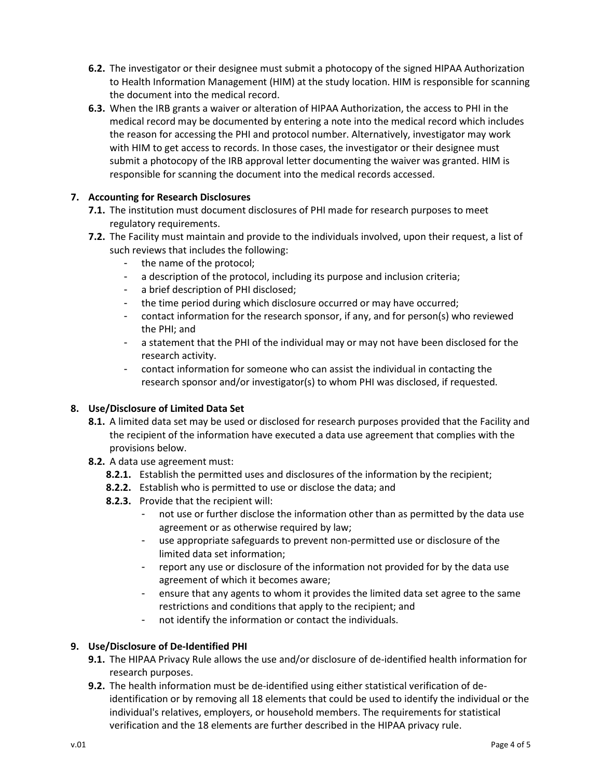- **6.2.** The investigator or their designee must submit a photocopy of the signed HIPAA Authorization to Health Information Management (HIM) at the study location. HIM is responsible for scanning the document into the medical record.
- **6.3.** When the IRB grants a waiver or alteration of HIPAA Authorization, the access to PHI in the medical record may be documented by entering a note into the medical record which includes the reason for accessing the PHI and protocol number. Alternatively, investigator may work with HIM to get access to records. In those cases, the investigator or their designee must submit a photocopy of the IRB approval letter documenting the waiver was granted. HIM is responsible for scanning the document into the medical records accessed.

# **7. Accounting for Research Disclosures**

- **7.1.** The institution must document disclosures of PHI made for research purposes to meet regulatory requirements.
- **7.2.** The Facility must maintain and provide to the individuals involved, upon their request, a list of such reviews that includes the following:
	- the name of the protocol;
	- a description of the protocol, including its purpose and inclusion criteria;
	- a brief description of PHI disclosed;
	- the time period during which disclosure occurred or may have occurred;
	- contact information for the research sponsor, if any, and for person(s) who reviewed the PHI; and
	- a statement that the PHI of the individual may or may not have been disclosed for the research activity.
	- contact information for someone who can assist the individual in contacting the research sponsor and/or investigator(s) to whom PHI was disclosed, if requested.

### **8. Use/Disclosure of Limited Data Set**

- **8.1.** A limited data set may be used or disclosed for research purposes provided that the Facility and the recipient of the information have executed a data use agreement that complies with the provisions below.
- **8.2.** A data use agreement must:
	- **8.2.1.** Establish the permitted uses and disclosures of the information by the recipient;
	- **8.2.2.** Establish who is permitted to use or disclose the data; and
	- **8.2.3.** Provide that the recipient will:
		- not use or further disclose the information other than as permitted by the data use agreement or as otherwise required by law;
		- use appropriate safeguards to prevent non-permitted use or disclosure of the limited data set information;
		- report any use or disclosure of the information not provided for by the data use agreement of which it becomes aware;
		- ensure that any agents to whom it provides the limited data set agree to the same restrictions and conditions that apply to the recipient; and
		- not identify the information or contact the individuals.

### **9. Use/Disclosure of De-Identified PHI**

- **9.1.** The HIPAA Privacy Rule allows the use and/or disclosure of de-identified health information for research purposes.
- **9.2.** The health information must be de-identified using either statistical verification of deidentification or by removing all 18 elements that could be used to identify the individual or the individual's relatives, employers, or household members. The requirements for statistical verification and the 18 elements are further described in the HIPAA privacy rule.